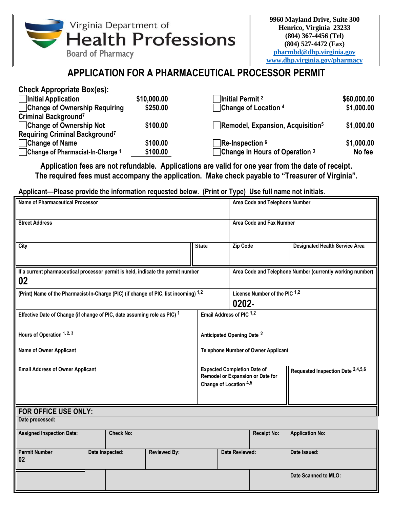

# **APPLICATION FOR A PHARMACEUTICAL PROCESSOR PERMIT**

| \$60,000.00 |
|-------------|
| \$1,000.00  |
|             |
| \$1,000.00  |
|             |
| \$1,000.00  |
| No fee      |
|             |

**Application fees are not refundable. Applications are valid for one year from the date of receipt. The required fees must accompany the application. Make check payable to "Treasurer of Virginia".**

## **Applicant—Please provide the information requested below. (Print or Type) Use full name not initials.**

| <b>Name of Pharmaceutical Processor</b>                                                |  |                  |                     |              |                                                                                                                                       | Area Code and Telephone Number                            |                                       |  |  |  |
|----------------------------------------------------------------------------------------|--|------------------|---------------------|--------------|---------------------------------------------------------------------------------------------------------------------------------------|-----------------------------------------------------------|---------------------------------------|--|--|--|
| <b>Street Address</b>                                                                  |  |                  |                     |              |                                                                                                                                       | Area Code and Fax Number                                  |                                       |  |  |  |
| City                                                                                   |  |                  |                     | <b>State</b> | <b>Zip Code</b>                                                                                                                       |                                                           | <b>Designated Health Service Area</b> |  |  |  |
| If a current pharmaceutical processor permit is held, indicate the permit number<br>02 |  |                  |                     |              |                                                                                                                                       | Area Code and Telephone Number (currently working number) |                                       |  |  |  |
| (Print) Name of the Pharmacist-In-Charge (PIC) (if change of PIC, list incoming) 1,2   |  |                  |                     |              | License Number of the PIC 1,2<br>0202-                                                                                                |                                                           |                                       |  |  |  |
| Effective Date of Change (if change of PIC, date assuming role as PIC) 1               |  |                  |                     |              | Email Address of PIC 1,2                                                                                                              |                                                           |                                       |  |  |  |
| Hours of Operation 1, 2, 3                                                             |  |                  |                     |              | Anticipated Opening Date <sup>2</sup>                                                                                                 |                                                           |                                       |  |  |  |
| Name of Owner Applicant                                                                |  |                  |                     |              | <b>Telephone Number of Owner Applicant</b>                                                                                            |                                                           |                                       |  |  |  |
| <b>Email Address of Owner Applicant</b>                                                |  |                  |                     |              | <b>Expected Completion Date of</b><br>Requested Inspection Date 2,4,5,6<br>Remodel or Expansion or Date for<br>Change of Location 4,5 |                                                           |                                       |  |  |  |
| FOR OFFICE USE ONLY:                                                                   |  |                  |                     |              |                                                                                                                                       |                                                           |                                       |  |  |  |
| Date processed:                                                                        |  |                  |                     |              |                                                                                                                                       |                                                           |                                       |  |  |  |
| <b>Assigned Inspection Date:</b>                                                       |  | <b>Check No:</b> |                     |              |                                                                                                                                       | <b>Receipt No:</b>                                        | <b>Application No:</b>                |  |  |  |
| <b>Permit Number</b><br>02                                                             |  | Date Inspected:  | <b>Reviewed By:</b> |              | <b>Date Reviewed:</b>                                                                                                                 |                                                           | Date Issued:                          |  |  |  |
|                                                                                        |  |                  |                     |              |                                                                                                                                       |                                                           | Date Scanned to MLO:                  |  |  |  |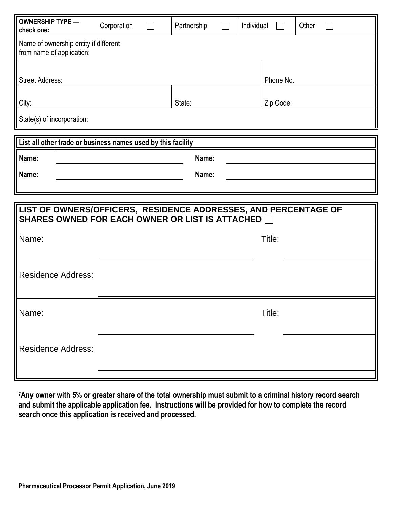| <b>OWNERSHIP TYPE -</b><br>check one:                                                                              | Corporation |  | Partnership |  | Individual |           | Other |  |  |
|--------------------------------------------------------------------------------------------------------------------|-------------|--|-------------|--|------------|-----------|-------|--|--|
| Name of ownership entity if different<br>from name of application:                                                 |             |  |             |  |            |           |       |  |  |
| <b>Street Address:</b>                                                                                             |             |  |             |  |            | Phone No. |       |  |  |
| $\mathbf{\ }$ City:                                                                                                |             |  | State:      |  |            | Zip Code: |       |  |  |
| State(s) of incorporation:                                                                                         |             |  |             |  |            |           |       |  |  |
| List all other trade or business names used by this facility                                                       |             |  |             |  |            |           |       |  |  |
| Name:                                                                                                              |             |  | Name:       |  |            |           |       |  |  |
| Name:                                                                                                              |             |  | Name:       |  |            |           |       |  |  |
|                                                                                                                    |             |  |             |  |            |           |       |  |  |
|                                                                                                                    |             |  |             |  |            |           |       |  |  |
| LIST OF OWNERS/OFFICERS, RESIDENCE ADDRESSES, AND PERCENTAGE OF<br>SHARES OWNED FOR EACH OWNER OR LIST IS ATTACHED |             |  |             |  |            |           |       |  |  |
| Name:                                                                                                              |             |  |             |  |            | Title:    |       |  |  |
|                                                                                                                    |             |  |             |  |            |           |       |  |  |
| <b>Residence Address:</b>                                                                                          |             |  |             |  |            |           |       |  |  |
|                                                                                                                    |             |  |             |  |            |           |       |  |  |
| $\parallel$ Name:                                                                                                  |             |  |             |  |            | Title:    |       |  |  |
| Residence Address:                                                                                                 |             |  |             |  |            |           |       |  |  |

**<sup>7</sup>Any owner with 5% or greater share of the total ownership must submit to a criminal history record search and submit the applicable application fee. Instructions will be provided for how to complete the record search once this application is received and processed.**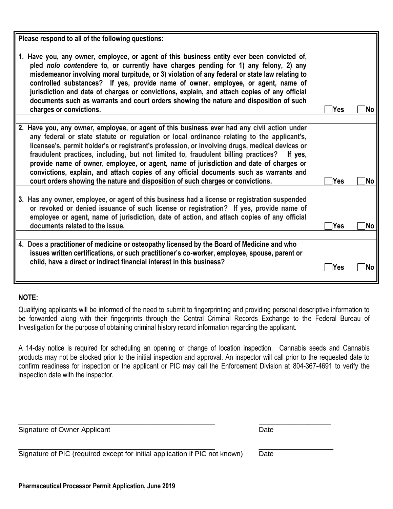| Please respond to all of the following questions:                                                                                                                                                                                                                                                                                                                                                                                                                                                                                                                                                                                                                |            |      |
|------------------------------------------------------------------------------------------------------------------------------------------------------------------------------------------------------------------------------------------------------------------------------------------------------------------------------------------------------------------------------------------------------------------------------------------------------------------------------------------------------------------------------------------------------------------------------------------------------------------------------------------------------------------|------------|------|
| 1. Have you, any owner, employee, or agent of this business entity ever been convicted of,<br>pled nolo contendere to, or currently have charges pending for 1) any felony, 2) any<br>misdemeanor involving moral turpitude, or 3) violation of any federal or state law relating to<br>controlled substances? If yes, provide name of owner, employee, or agent, name of<br>jurisdiction and date of charges or convictions, explain, and attach copies of any official<br>documents such as warrants and court orders showing the nature and disposition of such<br>charges or convictions.                                                                    | <b>Yes</b> | lNo. |
| 2. Have you, any owner, employee, or agent of this business ever had any civil action under<br>any federal or state statute or regulation or local ordinance relating to the applicant's,<br>licensee's, permit holder's or registrant's profession, or involving drugs, medical devices or<br>fraudulent practices, including, but not limited to, fraudulent billing practices? If yes,<br>provide name of owner, employee, or agent, name of jurisdiction and date of charges or<br>convictions, explain, and attach copies of any official documents such as warrants and<br>court orders showing the nature and disposition of such charges or convictions. | Yes        | lNo. |
| 3. Has any owner, employee, or agent of this business had a license or registration suspended<br>or revoked or denied issuance of such license or registration? If yes, provide name of<br>employee or agent, name of jurisdiction, date of action, and attach copies of any official<br>documents related to the issue.                                                                                                                                                                                                                                                                                                                                         | Yes        | lNo  |
| 4. Does a practitioner of medicine or osteopathy licensed by the Board of Medicine and who<br>issues written certifications, or such practitioner's co-worker, employee, spouse, parent or<br>child, have a direct or indirect financial interest in this business?                                                                                                                                                                                                                                                                                                                                                                                              | Yes        | lNo. |

#### **NOTE:**

Qualifying applicants will be informed of the need to submit to fingerprinting and providing personal descriptive information to be forwarded along with their fingerprints through the Central Criminal Records Exchange to the Federal Bureau of Investigation for the purpose of obtaining criminal history record information regarding the applicant.

A 14-day notice is required for scheduling an opening or change of location inspection. Cannabis seeds and Cannabis products may not be stocked prior to the initial inspection and approval. An inspector will call prior to the requested date to confirm readiness for inspection or the applicant or PIC may call the Enforcement Division at 804-367-4691 to verify the inspection date with the inspector.

\_\_\_\_\_\_\_\_\_\_\_\_\_\_\_\_\_\_\_\_\_\_\_\_\_\_\_\_\_\_\_\_\_\_\_\_\_\_\_\_\_\_\_\_ \_\_\_\_\_\_\_\_\_\_\_\_\_\_\_\_

\_\_\_\_\_\_\_\_\_\_\_\_\_\_\_\_\_\_\_\_\_\_\_\_\_\_\_\_\_\_\_\_\_\_\_\_\_\_\_\_\_\_\_\_\_\_\_\_\_\_ \_\_\_\_\_\_\_\_\_\_\_\_\_\_\_\_\_\_\_

**Pharmaceutical Processor Permit Application, June 2019**

Signature of Owner Applicant Date Date Date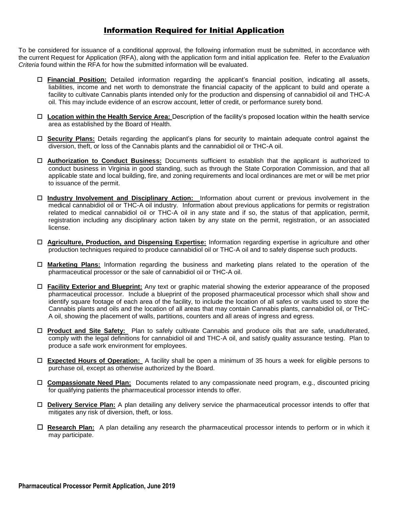## Information Required for Initial Application

To be considered for issuance of a conditional approval, the following information must be submitted, in accordance with the current Request for Application (RFA), along with the application form and initial application fee. Refer to the *Evaluation Criteria* found within the RFA for how the submitted information will be evaluated.

- **Financial Position:** Detailed information regarding the applicant's financial position, indicating all assets, liabilities, income and net worth to demonstrate the financial capacity of the applicant to build and operate a facility to cultivate Cannabis plants intended only for the production and dispensing of cannabidiol oil and THC-A oil. This may include evidence of an escrow account, letter of credit, or performance surety bond.
- **Location within the Health Service Area:** Description of the facility's proposed location within the health service area as established by the Board of Health.
- **Security Plans:** Details regarding the applicant's plans for security to maintain adequate control against the diversion, theft, or loss of the Cannabis plants and the cannabidiol oil or THC-A oil.
- **Authorization to Conduct Business:** Documents sufficient to establish that the applicant is authorized to conduct business in Virginia in good standing, such as through the State Corporation Commission, and that all applicable state and local building, fire, and zoning requirements and local ordinances are met or will be met prior to issuance of the permit.
- **Industry Involvement and Disciplinary Action:** Information about current or previous involvement in the medical cannabidiol oil or THC-A oil industry. Information about previous applications for permits or registration related to medical cannabidiol oil or THC-A oil in any state and if so, the status of that application, permit, registration including any disciplinary action taken by any state on the permit, registration, or an associated license.
- **Agriculture, Production, and Dispensing Expertise:** Information regarding expertise in agriculture and other production techniques required to produce cannabidiol oil or THC-A oil and to safely dispense such products.
- **Marketing Plans:** Information regarding the business and marketing plans related to the operation of the pharmaceutical processor or the sale of cannabidiol oil or THC-A oil.
- **Facility Exterior and Blueprint:** Any text or graphic material showing the exterior appearance of the proposed pharmaceutical processor. Include a blueprint of the proposed pharmaceutical processor which shall show and identify square footage of each area of the facility, to include the location of all safes or vaults used to store the Cannabis plants and oils and the location of all areas that may contain Cannabis plants, cannabidiol oil, or THC-A oil, showing the placement of walls, partitions, counters and all areas of ingress and egress.
- **Product and Site Safety:** Plan to safely cultivate Cannabis and produce oils that are safe, unadulterated, comply with the legal definitions for cannabidiol oil and THC-A oil, and satisfy quality assurance testing. Plan to produce a safe work environment for employees.
- **Expected Hours of Operation:** A facility shall be open a minimum of 35 hours a week for eligible persons to purchase oil, except as otherwise authorized by the Board.
- **Compassionate Need Plan:** Documents related to any compassionate need program, e.g., discounted pricing for qualifying patients the pharmaceutical processor intends to offer.
- **Delivery Service Plan:** A plan detailing any delivery service the pharmaceutical processor intends to offer that mitigates any risk of diversion, theft, or loss.
- **Research Plan:** A plan detailing any research the pharmaceutical processor intends to perform or in which it may participate.